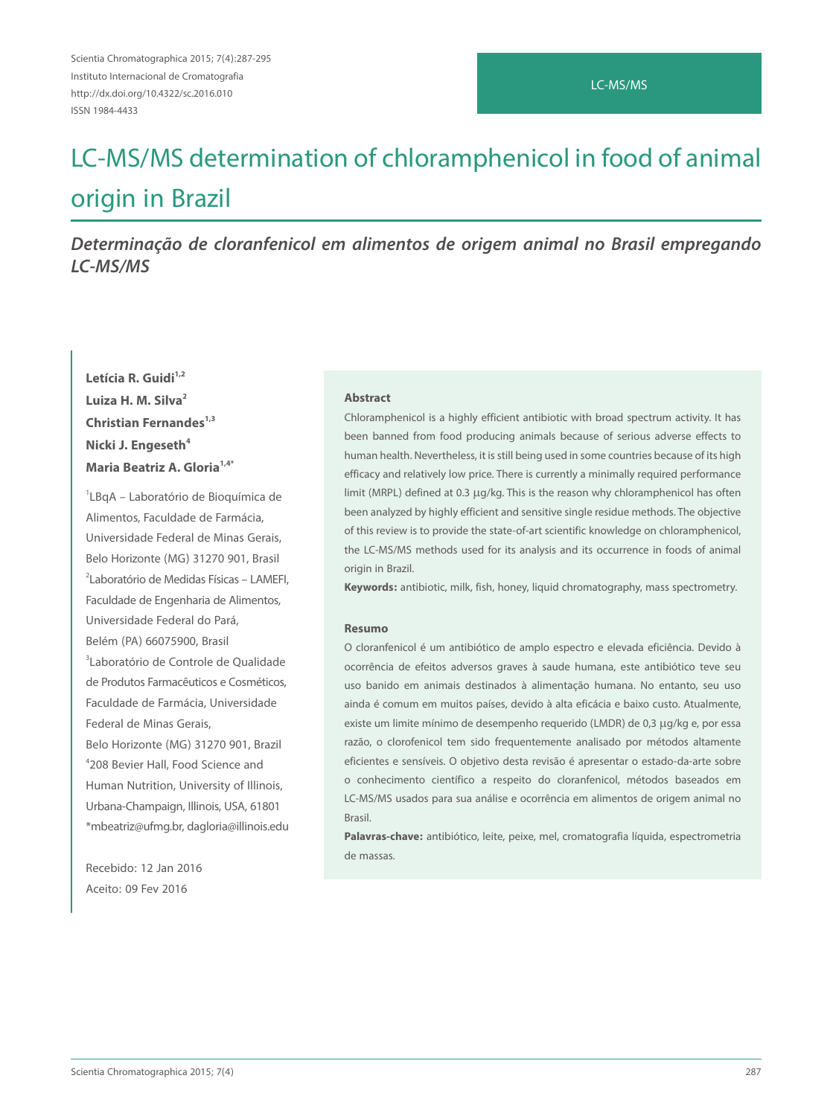## LC-MS/MS

# LC-MS/MS determination of chloramphenicol in food of animal origin in Brazil

*Determinação de cloranfenicol em alimentos de origem animal no Brasil empregando LC-MS/MS*

## Letícia R. Guidi<sup>1,2</sup> **Luiza H. M. Silva2 Christian Fernandes**<sup>1,3</sup> **Nicki J. Engeseth<sup>4</sup> Maria Beatriz A. Gloria1,4\***

1 LBqA – Laboratório de Bioquímica de Alimentos, Faculdade de Farmácia, Universidade Federal de Minas Gerais, Belo Horizonte (MG) 31270 901, Brasil 2 Laboratório de Medidas Físicas – LAMEFI, Faculdade de Engenharia de Alimentos, Universidade Federal do Pará, Belém (PA) 66075900, Brasil 3 Laboratório de Controle de Qualidade de Produtos Farmacêuticos e Cosméticos, Faculdade de Farmácia, Universidade Federal de Minas Gerais, Belo Horizonte (MG) 31270 901, Brazil 4 208 Bevier Hall, Food Science and Human Nutrition, University of Illinois, Urbana-Champaign, Illinois, USA, 61801 \*mbeatriz@ufmg.br, dagloria@illinois.edu

Recebido: 12 Jan 2016 Aceito: 09 Fev 2016

#### **Abstract**

Chloramphenicol is a highly efficient antibiotic with broad spectrum activity. It has been banned from food producing animals because of serious adverse effects to human health. Nevertheless, it is still being used in some countries because of its high efficacy and relatively low price. There is currently a minimally required performance limit (MRPL) defined at 0.3 µg/kg. This is the reason why chloramphenicol has often been analyzed by highly efficient and sensitive single residue methods. The objective of this review is to provide the state-of-art scientific knowledge on chloramphenicol, the LC-MS/MS methods used for its analysis and its occurrence in foods of animal origin in Brazil.

**Keywords:** antibiotic, milk, fish, honey, liquid chromatography, mass spectrometry.

#### **Resumo**

O cloranfenicol é um antibiótico de amplo espectro e elevada eficiência. Devido à ocorrência de efeitos adversos graves à saude humana, este antibiótico teve seu uso banido em animais destinados à alimentação humana. No entanto, seu uso ainda é comum em muitos países, devido à alta eficácia e baixo custo. Atualmente, existe um limite mínimo de desempenho requerido (LMDR) de 0,3 μg/kg e, por essa razão, o clorofenicol tem sido frequentemente analisado por métodos altamente eficientes e sensíveis. O objetivo desta revisão é apresentar o estado-da-arte sobre o conhecimento científico a respeito do cloranfenicol, métodos baseados em LC-MS/MS usados para sua análise e ocorrência em alimentos de origem animal no Brasil.

**Palavras-chave:** antibiótico, leite, peixe, mel, cromatografia líquida, espectrometria de massas.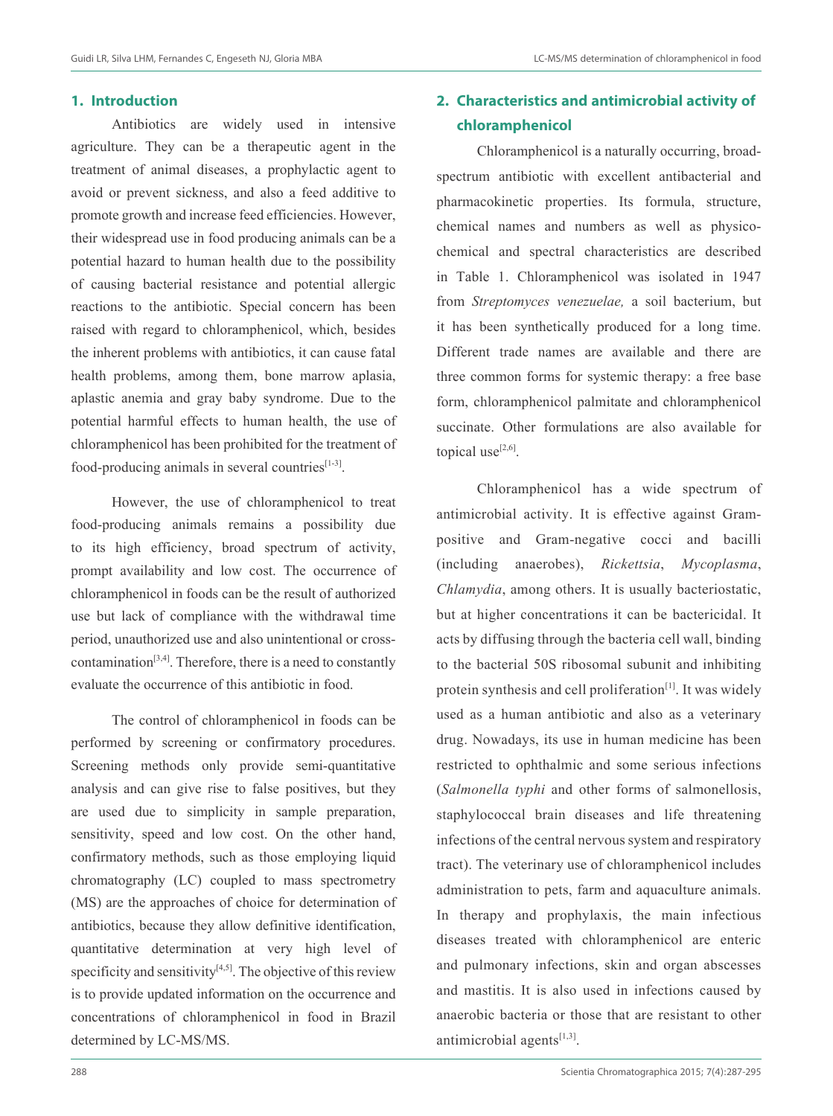## **1. Introduction**

Antibiotics are widely used in intensive agriculture. They can be a therapeutic agent in the treatment of animal diseases, a prophylactic agent to avoid or prevent sickness, and also a feed additive to promote growth and increase feed efficiencies. However, their widespread use in food producing animals can be a potential hazard to human health due to the possibility of causing bacterial resistance and potential allergic reactions to the antibiotic. Special concern has been raised with regard to chloramphenicol, which, besides the inherent problems with antibiotics, it can cause fatal health problems, among them, bone marrow aplasia, aplastic anemia and gray baby syndrome. Due to the potential harmful effects to human health, the use of chloramphenicol has been prohibited for the treatment of food-producing animals in several countries $[1-3]$ .

However, the use of chloramphenicol to treat food-producing animals remains a possibility due to its high efficiency, broad spectrum of activity, prompt availability and low cost. The occurrence of chloramphenicol in foods can be the result of authorized use but lack of compliance with the withdrawal time period, unauthorized use and also unintentional or crosscontamination $[3,4]$ . Therefore, there is a need to constantly evaluate the occurrence of this antibiotic in food.

The control of chloramphenicol in foods can be performed by screening or confirmatory procedures. Screening methods only provide semi-quantitative analysis and can give rise to false positives, but they are used due to simplicity in sample preparation, sensitivity, speed and low cost. On the other hand, confirmatory methods, such as those employing liquid chromatography (LC) coupled to mass spectrometry (MS) are the approaches of choice for determination of antibiotics, because they allow definitive identification, quantitative determination at very high level of specificity and sensitivity $[4,5]$ . The objective of this review is to provide updated information on the occurrence and concentrations of chloramphenicol in food in Brazil determined by LC-MS/MS.

## **2. Characteristics and antimicrobial activity of chloramphenicol**

Chloramphenicol is a naturally occurring, broadspectrum antibiotic with excellent antibacterial and pharmacokinetic properties. Its formula, structure, chemical names and numbers as well as physicochemical and spectral characteristics are described in Table 1. Chloramphenicol was isolated in 1947 from *Streptomyces venezuelae,* a soil bacterium, but it has been synthetically produced for a long time. Different trade names are available and there are three common forms for systemic therapy: a free base form, chloramphenicol palmitate and chloramphenicol succinate. Other formulations are also available for topical use $^{[2,6]}$ .

Chloramphenicol has a wide spectrum of antimicrobial activity. It is effective against Grampositive and Gram-negative cocci and bacilli (including anaerobes), *Rickettsia*, *Mycoplasma*, *Chlamydia*, among others. It is usually bacteriostatic, but at higher concentrations it can be bactericidal. It acts by diffusing through the bacteria cell wall, binding to the bacterial 50S ribosomal subunit and inhibiting protein synthesis and cell proliferation $[1]$ . It was widely used as a human antibiotic and also as a veterinary drug. Nowadays, its use in human medicine has been restricted to ophthalmic and some serious infections (*Salmonella typhi* and other forms of salmonellosis, staphylococcal brain diseases and life threatening infections of the central nervous system and respiratory tract). The veterinary use of chloramphenicol includes administration to pets, farm and aquaculture animals. In therapy and prophylaxis, the main infectious diseases treated with chloramphenicol are enteric and pulmonary infections, skin and organ abscesses and mastitis. It is also used in infections caused by anaerobic bacteria or those that are resistant to other antimicrobial agents $[1,3]$ .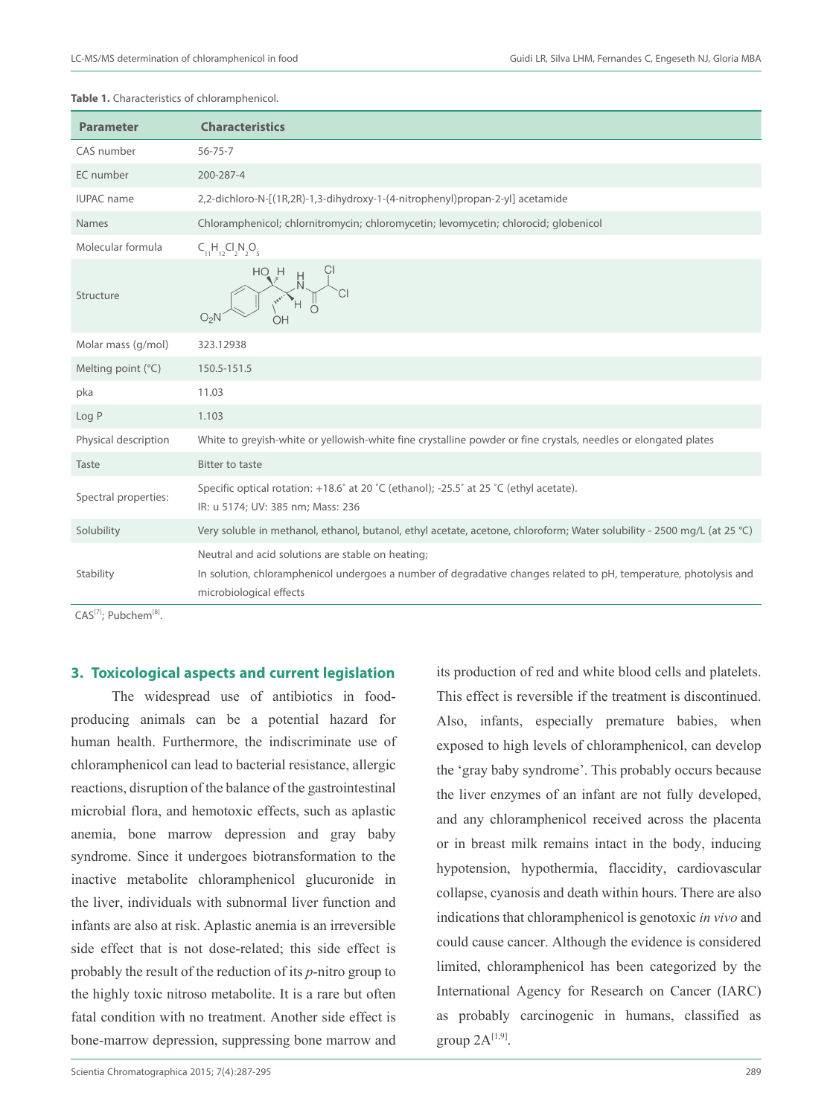**Table 1.** Characteristics of chloramphenicol.

| <b>Parameter</b>            | <b>Characteristics</b>                                                                                                                                                                            |
|-----------------------------|---------------------------------------------------------------------------------------------------------------------------------------------------------------------------------------------------|
| CAS number                  | $56 - 75 - 7$                                                                                                                                                                                     |
| EC number                   | 200-287-4                                                                                                                                                                                         |
| <b>IUPAC</b> name           | 2,2-dichloro-N-[(1R,2R)-1,3-dihydroxy-1-(4-nitrophenyl)propan-2-yl] acetamide                                                                                                                     |
| <b>Names</b>                | Chloramphenicol; chlornitromycin; chloromycetin; levomycetin; chlorocid; globenicol                                                                                                               |
| Molecular formula           | $C_{11}H_{12}Cl_{2}N_{2}O_{5}$                                                                                                                                                                    |
| Structure                   | но н                                                                                                                                                                                              |
| Molar mass (g/mol)          | 323.12938                                                                                                                                                                                         |
| Melting point $(^{\circ}C)$ | 150.5-151.5                                                                                                                                                                                       |
| pka                         | 11.03                                                                                                                                                                                             |
| Log P                       | 1.103                                                                                                                                                                                             |
| Physical description        | White to greyish-white or yellowish-white fine crystalline powder or fine crystals, needles or elongated plates                                                                                   |
| Taste                       | Bitter to taste                                                                                                                                                                                   |
| Spectral properties:        | Specific optical rotation: +18.6° at 20 °C (ethanol); -25.5° at 25 °C (ethyl acetate).<br>IR: u 5174; UV: 385 nm; Mass: 236                                                                       |
| Solubility                  | Very soluble in methanol, ethanol, butanol, ethyl acetate, acetone, chloroform; Water solubility - 2500 mq/L (at 25 °C)                                                                           |
| Stability                   | Neutral and acid solutions are stable on heating;<br>In solution, chloramphenicol undergoes a number of degradative changes related to pH, temperature, photolysis and<br>microbiological effects |

CAS<sup>[7]</sup>; Pubchem<sup>[8]</sup>.

## **3. Toxicological aspects and current legislation**

The widespread use of antibiotics in foodproducing animals can be a potential hazard for human health. Furthermore, the indiscriminate use of chloramphenicol can lead to bacterial resistance, allergic reactions, disruption of the balance of the gastrointestinal microbial flora, and hemotoxic effects, such as aplastic anemia, bone marrow depression and gray baby syndrome. Since it undergoes biotransformation to the inactive metabolite chloramphenicol glucuronide in the liver, individuals with subnormal liver function and infants are also at risk. Aplastic anemia is an irreversible side effect that is not dose-related; this side effect is probably the result of the reduction of its *p*-nitro group to the highly toxic nitroso metabolite. It is a rare but often fatal condition with no treatment. Another side effect is bone-marrow depression, suppressing bone marrow and

its production of red and white blood cells and platelets. This effect is reversible if the treatment is discontinued. Also, infants, especially premature babies, when exposed to high levels of chloramphenicol, can develop the 'gray baby syndrome'. This probably occurs because the liver enzymes of an infant are not fully developed, and any chloramphenicol received across the placenta or in breast milk remains intact in the body, inducing hypotension, hypothermia, flaccidity, cardiovascular collapse, cyanosis and death within hours. There are also indications that chloramphenicol is genotoxic *in vivo* and could cause cancer. Although the evidence is considered limited, chloramphenicol has been categorized by the International Agency for Research on Cancer (IARC) as probably carcinogenic in humans, classified as group  $2A^{[1,9]}$ .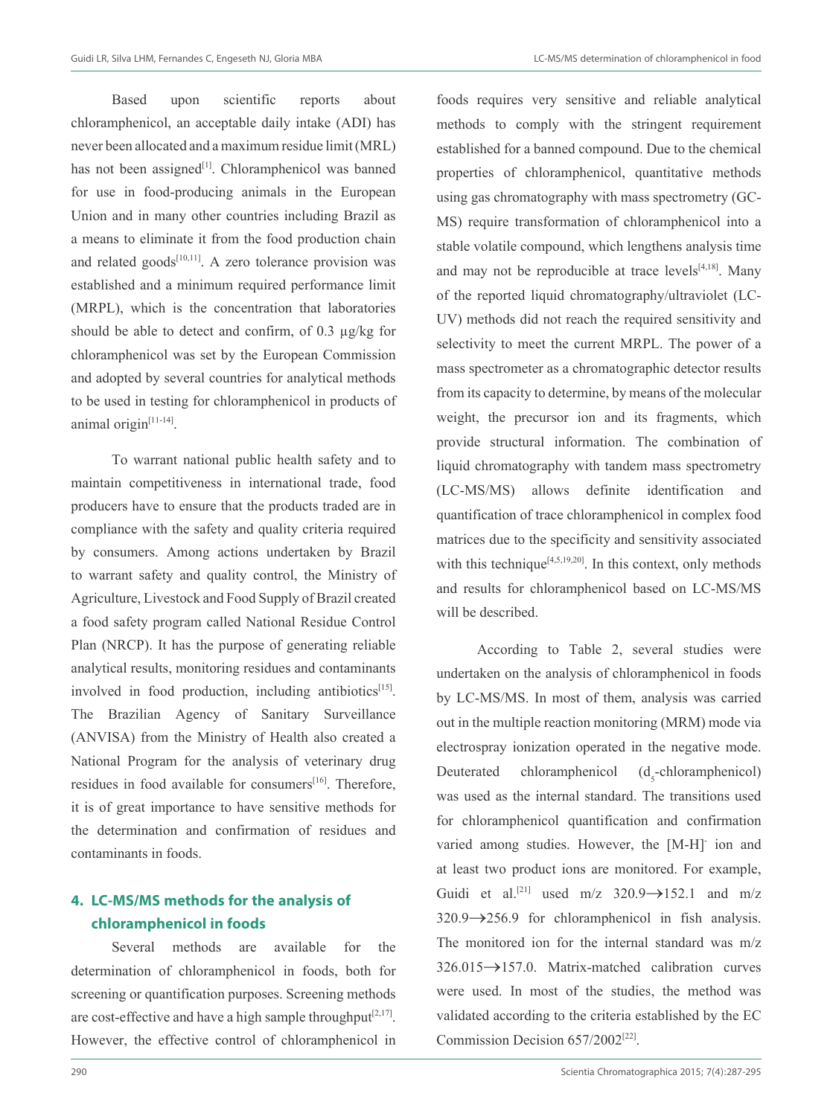Based upon scientific reports about chloramphenicol, an acceptable daily intake (ADI) has never been allocated and a maximum residue limit (MRL) has not been assigned<sup>[1]</sup>. Chloramphenicol was banned for use in food-producing animals in the European Union and in many other countries including Brazil as a means to eliminate it from the food production chain and related goods $[10,11]$ . A zero tolerance provision was established and a minimum required performance limit (MRPL), which is the concentration that laboratories should be able to detect and confirm, of 0.3 µg/kg for chloramphenicol was set by the European Commission and adopted by several countries for analytical methods to be used in testing for chloramphenicol in products of animal origin<sup>[11-14]</sup>.

To warrant national public health safety and to maintain competitiveness in international trade, food producers have to ensure that the products traded are in compliance with the safety and quality criteria required by consumers. Among actions undertaken by Brazil to warrant safety and quality control, the Ministry of Agriculture, Livestock and Food Supply of Brazil created a food safety program called National Residue Control Plan (NRCP). It has the purpose of generating reliable analytical results, monitoring residues and contaminants involved in food production, including antibiotics $[15]$ . The Brazilian Agency of Sanitary Surveillance (ANVISA) from the Ministry of Health also created a National Program for the analysis of veterinary drug residues in food available for consumers<sup>[16]</sup>. Therefore, it is of great importance to have sensitive methods for the determination and confirmation of residues and contaminants in foods.

## **4. LC-MS/MS methods for the analysis of chloramphenicol in foods**

Several methods are available for the determination of chloramphenicol in foods, both for screening or quantification purposes. Screening methods are cost-effective and have a high sample throughput<sup>[2,17]</sup>. However, the effective control of chloramphenicol in

foods requires very sensitive and reliable analytical methods to comply with the stringent requirement established for a banned compound. Due to the chemical properties of chloramphenicol, quantitative methods using gas chromatography with mass spectrometry (GC-MS) require transformation of chloramphenicol into a stable volatile compound, which lengthens analysis time and may not be reproducible at trace  $levels^{[4,18]}$ . Many of the reported liquid chromatography/ultraviolet (LC-UV) methods did not reach the required sensitivity and selectivity to meet the current MRPL. The power of a mass spectrometer as a chromatographic detector results from its capacity to determine, by means of the molecular weight, the precursor ion and its fragments, which provide structural information. The combination of liquid chromatography with tandem mass spectrometry (LC-MS/MS) allows definite identification and quantification of trace chloramphenicol in complex food matrices due to the specificity and sensitivity associated with this technique<sup>[4,5,19,20]</sup>. In this context, only methods and results for chloramphenicol based on LC-MS/MS will be described.

According to Table 2, several studies were undertaken on the analysis of chloramphenicol in foods by LC-MS/MS. In most of them, analysis was carried out in the multiple reaction monitoring (MRM) mode via electrospray ionization operated in the negative mode. Deuterated chloramphenicol -chloramphenicol) was used as the internal standard. The transitions used for chloramphenicol quantification and confirmation varied among studies. However, the [M-H]- ion and at least two product ions are monitored. For example, Guidi et al.<sup>[21]</sup> used m/z  $320.9 \rightarrow 152.1$  and m/z 320.9→256.9 for chloramphenicol in fish analysis. The monitored ion for the internal standard was m/z 326.015→157.0. Matrix-matched calibration curves were used. In most of the studies, the method was validated according to the criteria established by the EC Commission Decision 657/2002<sup>[22]</sup>.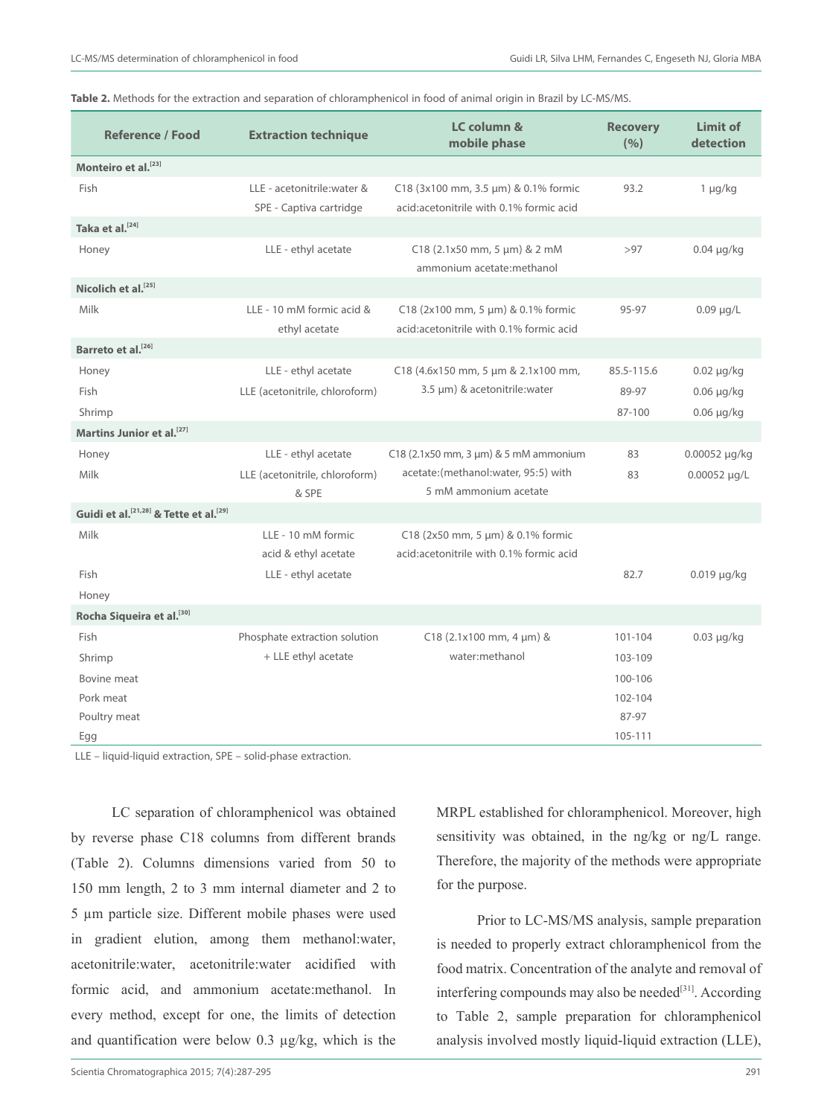| Table 2. Methods for the extraction and separation of chloramphenicol in food of animal origin in Brazil by LC-MS/MS. |  |  |
|-----------------------------------------------------------------------------------------------------------------------|--|--|
|-----------------------------------------------------------------------------------------------------------------------|--|--|

| <b>Reference / Food</b>                                        | <b>Extraction technique</b>                            | LC column &<br>mobile phase                                                      | <b>Recovery</b><br>(9/6) | <b>Limit of</b><br>detection |
|----------------------------------------------------------------|--------------------------------------------------------|----------------------------------------------------------------------------------|--------------------------|------------------------------|
| Monteiro et al. <sup>[23]</sup>                                |                                                        |                                                                                  |                          |                              |
| Fish                                                           | LLE - acetonitrile: water &<br>SPE - Captiva cartridge | C18 (3x100 mm, 3.5 µm) & 0.1% formic<br>acid: acetonitrile with 0.1% formic acid | 93.2                     | $1 \mu g/kg$                 |
| Taka et al. <sup>[24]</sup>                                    |                                                        |                                                                                  |                          |                              |
| Honey                                                          | LLE - ethyl acetate                                    | C18 (2.1x50 mm, 5 µm) & 2 mM<br>ammonium acetate:methanol                        | >97                      | $0.04 \mu g/kg$              |
| Nicolich et al. <sup>[25]</sup>                                |                                                        |                                                                                  |                          |                              |
| Milk                                                           | LLE - 10 mM formic acid &<br>ethyl acetate             | C18 (2x100 mm, 5 µm) & 0.1% formic<br>acid:acetonitrile with 0.1% formic acid    | 95-97                    | $0.09 \mu g/L$               |
| Barreto et al. <sup>[26]</sup>                                 |                                                        |                                                                                  |                          |                              |
| Honey                                                          | LLE - ethyl acetate                                    | C18 (4.6x150 mm, 5 µm & 2.1x100 mm,                                              | 85.5-115.6               | $0.02 \mu g/kg$              |
| Fish                                                           | LLE (acetonitrile, chloroform)                         | 3.5 µm) & acetonitrile: water                                                    | 89-97                    | $0.06 \mu g/kg$              |
| Shrimp                                                         |                                                        |                                                                                  | 87-100                   | $0.06 \mu g/kg$              |
| Martins Junior et al. <sup>[27]</sup>                          |                                                        |                                                                                  |                          |                              |
| Honey                                                          | LLE - ethyl acetate                                    | C18 (2.1x50 mm, 3 µm) & 5 mM ammonium                                            | 83                       | $0.00052 \mu q/kg$           |
| Milk                                                           | LLE (acetonitrile, chloroform)<br>& SPE                | acetate:(methanol:water, 95:5) with<br>5 mM ammonium acetate                     | 83                       | $0.00052 \mu q/L$            |
| Guidi et al. <sup>[21,28]</sup> & Tette et al. <sup>[29]</sup> |                                                        |                                                                                  |                          |                              |
| Milk                                                           | LLE - 10 mM formic<br>acid & ethyl acetate             | C18 (2x50 mm, 5 µm) & 0.1% formic<br>acid:acetonitrile with 0.1% formic acid     |                          |                              |
| Fish                                                           | LLE - ethyl acetate                                    |                                                                                  | 82.7                     | $0.019$ µg/kg                |
| Honey                                                          |                                                        |                                                                                  |                          |                              |
| Rocha Siqueira et al. <sup>[30]</sup>                          |                                                        |                                                                                  |                          |                              |
| Fish                                                           | Phosphate extraction solution                          | $C18$ (2.1x100 mm, 4 µm) &                                                       | 101-104                  | $0.03 \mu g/kg$              |
| Shrimp                                                         | + LLE ethyl acetate                                    | water:methanol                                                                   | 103-109                  |                              |
| Bovine meat                                                    |                                                        |                                                                                  | 100-106                  |                              |
| Pork meat                                                      |                                                        |                                                                                  | 102-104                  |                              |
| Poultry meat                                                   |                                                        |                                                                                  | 87-97                    |                              |
| Egg                                                            |                                                        |                                                                                  | 105-111                  |                              |

LLE – liquid-liquid extraction, SPE – solid-phase extraction.

LC separation of chloramphenicol was obtained by reverse phase C18 columns from different brands (Table 2). Columns dimensions varied from 50 to 150 mm length, 2 to 3 mm internal diameter and 2 to 5 µm particle size. Different mobile phases were used in gradient elution, among them methanol:water, acetonitrile:water, acetonitrile:water acidified with formic acid, and ammonium acetate:methanol. In every method, except for one, the limits of detection and quantification were below 0.3 µg/kg, which is the MRPL established for chloramphenicol. Moreover, high sensitivity was obtained, in the ng/kg or ng/L range. Therefore, the majority of the methods were appropriate for the purpose.

Prior to LC-MS/MS analysis, sample preparation is needed to properly extract chloramphenicol from the food matrix. Concentration of the analyte and removal of interfering compounds may also be needed $[31]$ . According to Table 2, sample preparation for chloramphenicol analysis involved mostly liquid-liquid extraction (LLE),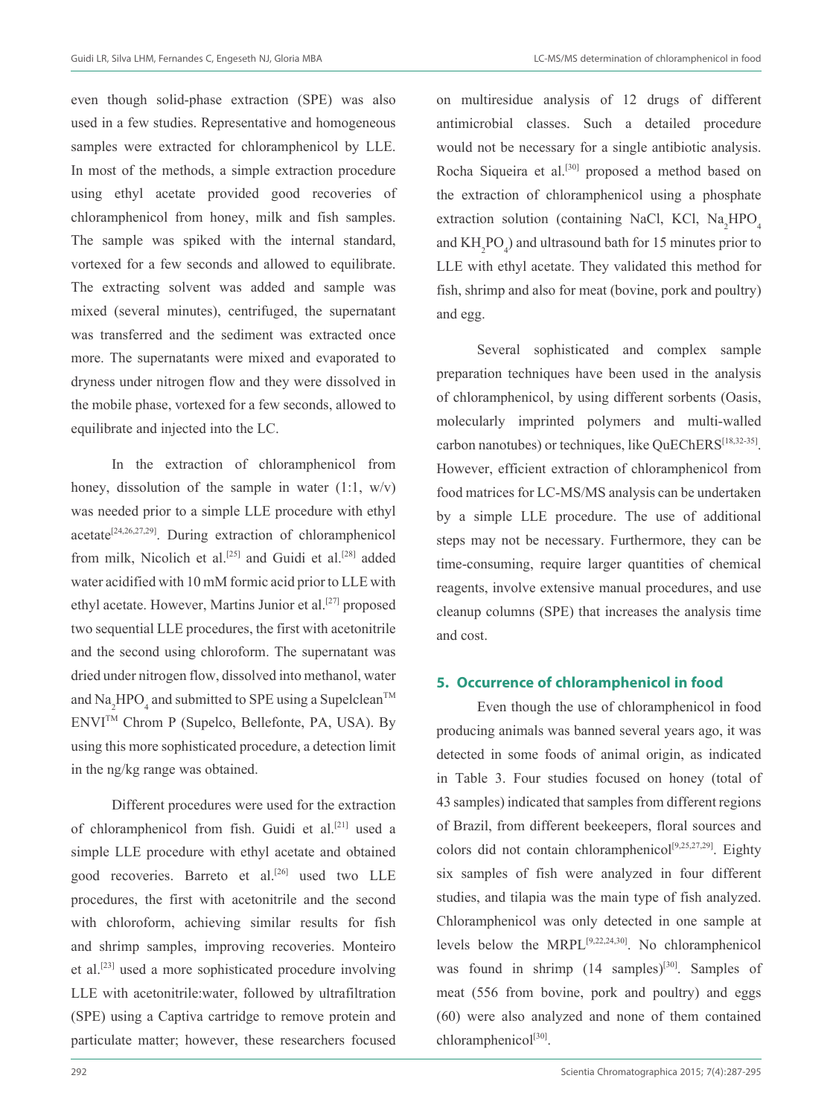even though solid-phase extraction (SPE) was also used in a few studies. Representative and homogeneous samples were extracted for chloramphenicol by LLE. In most of the methods, a simple extraction procedure using ethyl acetate provided good recoveries of chloramphenicol from honey, milk and fish samples. The sample was spiked with the internal standard, vortexed for a few seconds and allowed to equilibrate. The extracting solvent was added and sample was mixed (several minutes), centrifuged, the supernatant was transferred and the sediment was extracted once more. The supernatants were mixed and evaporated to dryness under nitrogen flow and they were dissolved in the mobile phase, vortexed for a few seconds, allowed to equilibrate and injected into the LC.

In the extraction of chloramphenicol from honey, dissolution of the sample in water  $(1:1, w/v)$ was needed prior to a simple LLE procedure with ethyl acetate[24,26,27,29]. During extraction of chloramphenicol from milk, Nicolich et al.<sup>[25]</sup> and Guidi et al.<sup>[28]</sup> added water acidified with 10 mM formic acid prior to LLE with ethyl acetate. However, Martins Junior et al.<sup>[27]</sup> proposed two sequential LLE procedures, the first with acetonitrile and the second using chloroform. The supernatant was dried under nitrogen flow, dissolved into methanol, water and  $\text{Na}_2\text{HPO}_4$  and submitted to SPE using a Supelclean<sup>TM</sup> ENVITM Chrom P (Supelco, Bellefonte, PA, USA). By using this more sophisticated procedure, a detection limit in the ng/kg range was obtained.

Different procedures were used for the extraction of chloramphenicol from fish. Guidi et al.<sup>[21]</sup> used a simple LLE procedure with ethyl acetate and obtained good recoveries. Barreto et al.<sup>[26]</sup> used two LLE procedures, the first with acetonitrile and the second with chloroform, achieving similar results for fish and shrimp samples, improving recoveries. Monteiro et al.[23] used a more sophisticated procedure involving LLE with acetonitrile:water, followed by ultrafiltration (SPE) using a Captiva cartridge to remove protein and particulate matter; however, these researchers focused on multiresidue analysis of 12 drugs of different antimicrobial classes. Such a detailed procedure would not be necessary for a single antibiotic analysis. Rocha Siqueira et al.<sup>[30]</sup> proposed a method based on the extraction of chloramphenicol using a phosphate extraction solution (containing NaCl, KCl,  $Na<sub>2</sub>HPO<sub>4</sub>$ and  $KH_2PO_4$ ) and ultrasound bath for 15 minutes prior to LLE with ethyl acetate. They validated this method for fish, shrimp and also for meat (bovine, pork and poultry) and egg.

Several sophisticated and complex sample preparation techniques have been used in the analysis of chloramphenicol, by using different sorbents (Oasis, molecularly imprinted polymers and multi-walled carbon nanotubes) or techniques, like QuEChERS<sup>[18,32-35]</sup>. However, efficient extraction of chloramphenicol from food matrices for LC-MS/MS analysis can be undertaken by a simple LLE procedure. The use of additional steps may not be necessary. Furthermore, they can be time-consuming, require larger quantities of chemical reagents, involve extensive manual procedures, and use cleanup columns (SPE) that increases the analysis time and cost.

## **5. Occurrence of chloramphenicol in food**

Even though the use of chloramphenicol in food producing animals was banned several years ago, it was detected in some foods of animal origin, as indicated in Table 3. Four studies focused on honey (total of 43 samples) indicated that samples from different regions of Brazil, from different beekeepers, floral sources and colors did not contain chloramphenicol<sup>[9,25,27,29]</sup>. Eighty six samples of fish were analyzed in four different studies, and tilapia was the main type of fish analyzed. Chloramphenicol was only detected in one sample at levels below the MRPL[9,22,24,30]. No chloramphenicol was found in shrimp  $(14 \text{ samples})^{[30]}$ . Samples of meat (556 from bovine, pork and poultry) and eggs (60) were also analyzed and none of them contained chloramphenicol<sup>[30]</sup>.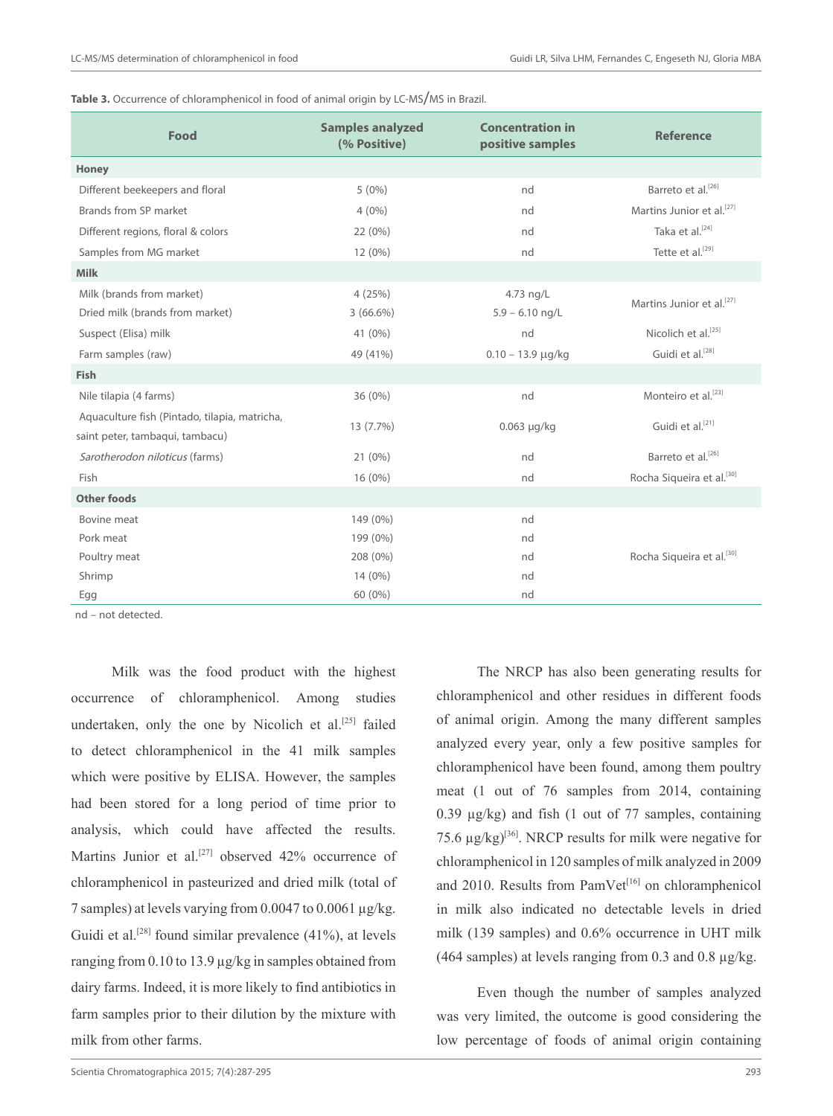| Table 3. Occurrence of chloramphenicol in food of animal origin by LC-MS/MS in Brazil. |  |  |
|----------------------------------------------------------------------------------------|--|--|
|----------------------------------------------------------------------------------------|--|--|

| Food                                                                             | <b>Samples analyzed</b><br>(% Positive) | <b>Concentration in</b><br>positive samples | <b>Reference</b>                      |  |
|----------------------------------------------------------------------------------|-----------------------------------------|---------------------------------------------|---------------------------------------|--|
| Honey                                                                            |                                         |                                             |                                       |  |
| Different beekeepers and floral                                                  | $5(0\%)$                                | nd                                          | Barreto et al. <sup>[26]</sup>        |  |
| Brands from SP market                                                            | $4(0\%)$                                | nd                                          | Martins Junior et al. <sup>[27]</sup> |  |
| Different regions, floral & colors                                               | 22 (0%)                                 | nd                                          | Taka et al. <sup>[24]</sup>           |  |
| Samples from MG market                                                           | $12(0\%)$                               | nd                                          | Tette et al. <sup>[29]</sup>          |  |
| <b>Milk</b>                                                                      |                                         |                                             |                                       |  |
| Milk (brands from market)                                                        | 4(25%)                                  | 4.73 ng/L                                   | Martins Junior et al. <sup>[27]</sup> |  |
| Dried milk (brands from market)                                                  | $3(66.6\%)$                             | $5.9 - 6.10$ ng/L                           |                                       |  |
| Suspect (Elisa) milk                                                             | 41 (0%)                                 | nd                                          | Nicolich et al. <sup>[25]</sup>       |  |
| Farm samples (raw)                                                               | 49 (41%)                                | $0.10 - 13.9 \mu q/kg$                      | Guidi et al. <sup>[28]</sup>          |  |
| <b>Fish</b>                                                                      |                                         |                                             |                                       |  |
| Nile tilapia (4 farms)                                                           | 36 (0%)                                 | nd                                          | Monteiro et al. <sup>[23]</sup>       |  |
| Aquaculture fish (Pintado, tilapia, matricha,<br>saint peter, tambaqui, tambacu) | 13 (7.7%)                               | $0.063$ µg/kg                               | Guidi et al. <sup>[21]</sup>          |  |
| Sarotherodon niloticus (farms)                                                   | $21(0\%)$                               | nd                                          | Barreto et al. <sup>[26]</sup>        |  |
| Fish                                                                             | 16 (0%)                                 | nd                                          | Rocha Siqueira et al. <sup>[30]</sup> |  |
| <b>Other foods</b>                                                               |                                         |                                             |                                       |  |
| Bovine meat                                                                      | 149 (0%)                                | nd                                          |                                       |  |
| Pork meat                                                                        | 199 (0%)                                | nd                                          |                                       |  |
| Poultry meat                                                                     | 208 (0%)                                | nd                                          | Rocha Siqueira et al. <sup>[30]</sup> |  |
| Shrimp                                                                           | $14(0\%)$                               | nd                                          |                                       |  |
| Egg                                                                              | 60 (0%)                                 | nd                                          |                                       |  |

nd – not detected.

Milk was the food product with the highest occurrence of chloramphenicol. Among studies undertaken, only the one by Nicolich et al.<sup>[25]</sup> failed to detect chloramphenicol in the 41 milk samples which were positive by ELISA. However, the samples had been stored for a long period of time prior to analysis, which could have affected the results. Martins Junior et al.<sup>[27]</sup> observed 42% occurrence of chloramphenicol in pasteurized and dried milk (total of 7 samples) at levels varying from 0.0047 to 0.0061 µg/kg. Guidi et al.<sup>[28]</sup> found similar prevalence  $(41\%)$ , at levels ranging from 0.10 to 13.9 µg/kg in samples obtained from dairy farms. Indeed, it is more likely to find antibiotics in farm samples prior to their dilution by the mixture with milk from other farms.

The NRCP has also been generating results for chloramphenicol and other residues in different foods of animal origin. Among the many different samples analyzed every year, only a few positive samples for chloramphenicol have been found, among them poultry meat (1 out of 76 samples from 2014, containing 0.39  $\mu$ g/kg) and fish (1 out of 77 samples, containing 75.6  $\mu$ g/kg)<sup>[36]</sup>. NRCP results for milk were negative for chloramphenicol in 120 samples of milk analyzed in 2009 and 2010. Results from PamVet<sup>[16]</sup> on chloramphenicol in milk also indicated no detectable levels in dried milk (139 samples) and 0.6% occurrence in UHT milk (464 samples) at levels ranging from 0.3 and 0.8  $\mu$ g/kg.

Even though the number of samples analyzed was very limited, the outcome is good considering the low percentage of foods of animal origin containing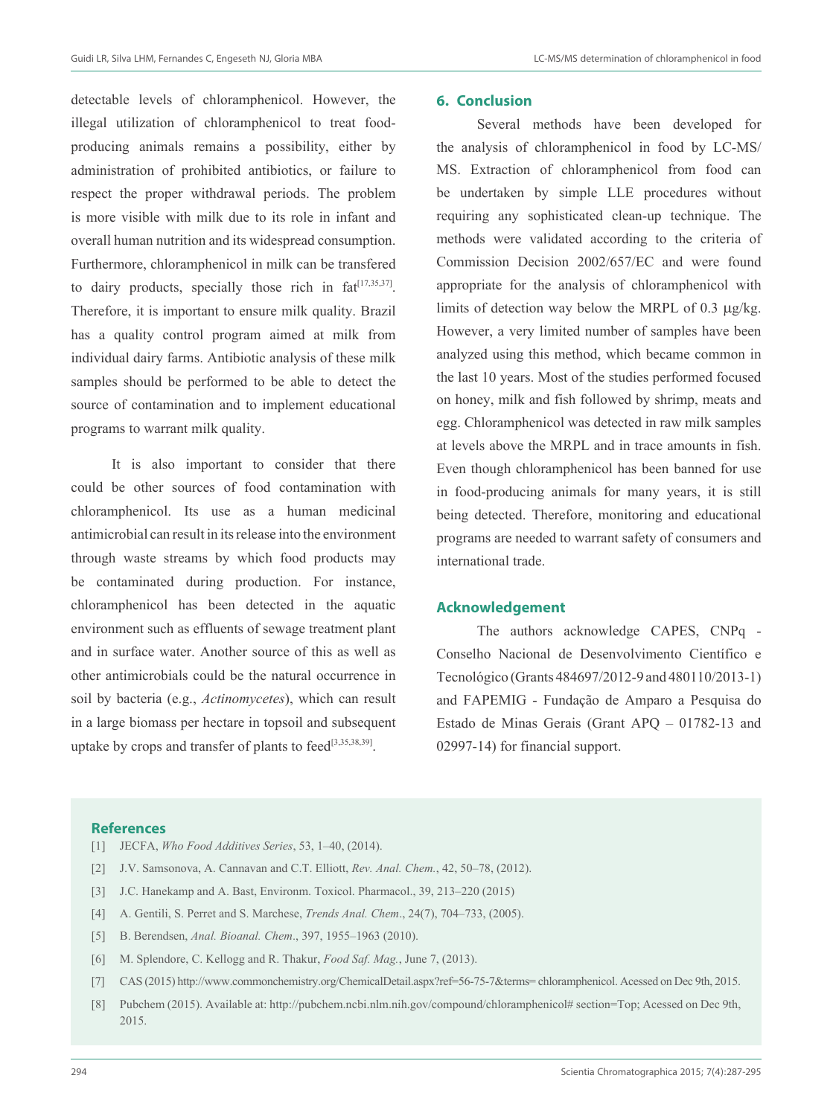detectable levels of chloramphenicol. However, the illegal utilization of chloramphenicol to treat foodproducing animals remains a possibility, either by administration of prohibited antibiotics, or failure to respect the proper withdrawal periods. The problem is more visible with milk due to its role in infant and overall human nutrition and its widespread consumption. Furthermore, chloramphenicol in milk can be transfered to dairy products, specially those rich in  $fat^{[17,35,37]}$ . Therefore, it is important to ensure milk quality. Brazil has a quality control program aimed at milk from individual dairy farms. Antibiotic analysis of these milk samples should be performed to be able to detect the source of contamination and to implement educational programs to warrant milk quality.

It is also important to consider that there could be other sources of food contamination with chloramphenicol. Its use as a human medicinal antimicrobial can result in its release into the environment through waste streams by which food products may be contaminated during production. For instance, chloramphenicol has been detected in the aquatic environment such as effluents of sewage treatment plant and in surface water. Another source of this as well as other antimicrobials could be the natural occurrence in soil by bacteria (e.g., *Actinomycetes*), which can result in a large biomass per hectare in topsoil and subsequent uptake by crops and transfer of plants to feed<sup>[3,35,38,39]</sup>.

## **6. Conclusion**

Several methods have been developed for the analysis of chloramphenicol in food by LC-MS/ MS. Extraction of chloramphenicol from food can be undertaken by simple LLE procedures without requiring any sophisticated clean-up technique. The methods were validated according to the criteria of Commission Decision 2002/657/EC and were found appropriate for the analysis of chloramphenicol with limits of detection way below the MRPL of 0.3  $\mu$ g/kg. However, a very limited number of samples have been analyzed using this method, which became common in the last 10 years. Most of the studies performed focused on honey, milk and fish followed by shrimp, meats and egg. Chloramphenicol was detected in raw milk samples at levels above the MRPL and in trace amounts in fish. Even though chloramphenicol has been banned for use in food-producing animals for many years, it is still being detected. Therefore, monitoring and educational programs are needed to warrant safety of consumers and international trade.

## **Acknowledgement**

The authors acknowledge CAPES, CNPq - Conselho Nacional de Desenvolvimento Científico e Tecnológico (Grants 484697/2012-9 and 480110/2013-1) and FAPEMIG - Fundação de Amparo a Pesquisa do Estado de Minas Gerais (Grant APQ – 01782-13 and 02997-14) for financial support.

### **References**

- [1] JECFA, *Who Food Additives Series*, 53, 1–40, (2014).
- [2] J.V. Samsonova, A. Cannavan and C.T. Elliott, *Rev. Anal. Chem.*, 42, 50–78, (2012).
- [3] J.C. Hanekamp and A. Bast, Environm. Toxicol. Pharmacol., 39, 213–220 (2015)
- [4] A. Gentili, S. Perret and S. Marchese, *Trends Anal. Chem*., 24(7), 704–733, (2005).
- [5] B. Berendsen, *Anal. Bioanal. Chem*., 397, 1955–1963 (2010).
- [6] M. Splendore, C. Kellogg and R. Thakur, *Food Saf. Mag.*, June 7, (2013).
- [7] CAS (2015) http://www.commonchemistry.org/ChemicalDetail.aspx?ref=56-75-7&terms= chloramphenicol. Acessed on Dec 9th, 2015.
- [8] Pubchem (2015). Available at: http://pubchem.ncbi.nlm.nih.gov/compound/chloramphenicol# section=Top; Acessed on Dec 9th, 2015.